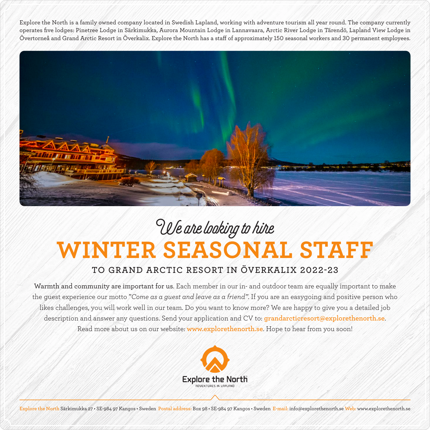Explore the North is a family owned company located in Swedish Lapland, working with adventure tourism all year round. The company currently operates five lodges: Pinetree Lodge in Särkimukka, Aurora Mountain Lodge in Lannavaara, Arctic River Lodge in Tärendö, Lapland View Lodge in Övertorneå and Grand Arctic Resort in Överkalix. Explore the North has a staff of approximately 150 seasonal workers and 30 permanent employees.



## **WINTER SEASONAL STAFF** We are looking to hire

## **TO GRAND ARCTIC RESORT IN ÖVERKALIX 2022-23**

Warmth and community are important for us. Each member in our in- and outdoor team are equally important to make the guest experience our motto "*Come as a guest and leave as a friend"*. If you are an easygoing and positive person who likes challenges, you will work well in our team. Do you want to know more? We are happy to give you a detailed job description and answer any questions. Send your application and CV to: **grandarcticresort@explorethenorth.se**. Read more about us on our website: **www.explorethenorth.se**. Hope to hear from you soon!